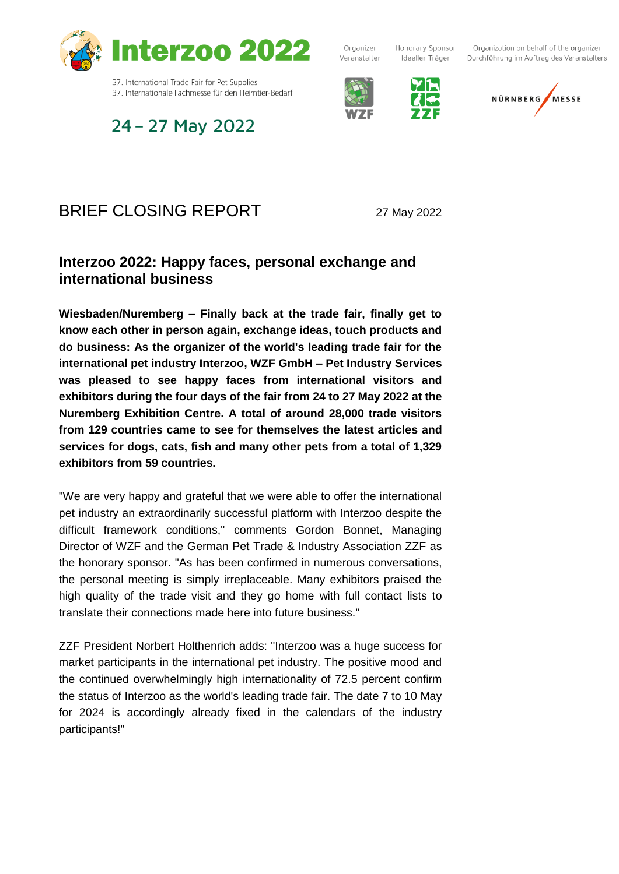

Organizer Veranstalter

Honorary Sponsor Ideeller Träger

Organization on behalf of the organizer Durchführung im Auftrag des Veranstalters







# 24 - 27 May 2022

37. Internationale Fachmesse für den Heimtier-Bedarf

### BRIEF CLOSING REPORT 27 May 2022

### **Interzoo 2022: Happy faces, personal exchange and international business**

**Wiesbaden/Nuremberg – Finally back at the trade fair, finally get to know each other in person again, exchange ideas, touch products and do business: As the organizer of the world's leading trade fair for the international pet industry Interzoo, WZF GmbH – Pet Industry Services was pleased to see happy faces from international visitors and exhibitors during the four days of the fair from 24 to 27 May 2022 at the Nuremberg Exhibition Centre. A total of around 28,000 trade visitors from 129 countries came to see for themselves the latest articles and services for dogs, cats, fish and many other pets from a total of 1,329 exhibitors from 59 countries.**

"We are very happy and grateful that we were able to offer the international pet industry an extraordinarily successful platform with Interzoo despite the difficult framework conditions," comments Gordon Bonnet, Managing Director of WZF and the German Pet Trade & Industry Association ZZF as the honorary sponsor. "As has been confirmed in numerous conversations, the personal meeting is simply irreplaceable. Many exhibitors praised the high quality of the trade visit and they go home with full contact lists to translate their connections made here into future business."

ZZF President Norbert Holthenrich adds: "Interzoo was a huge success for market participants in the international pet industry. The positive mood and the continued overwhelmingly high internationality of 72.5 percent confirm the status of Interzoo as the world's leading trade fair. The date 7 to 10 May for 2024 is accordingly already fixed in the calendars of the industry participants!"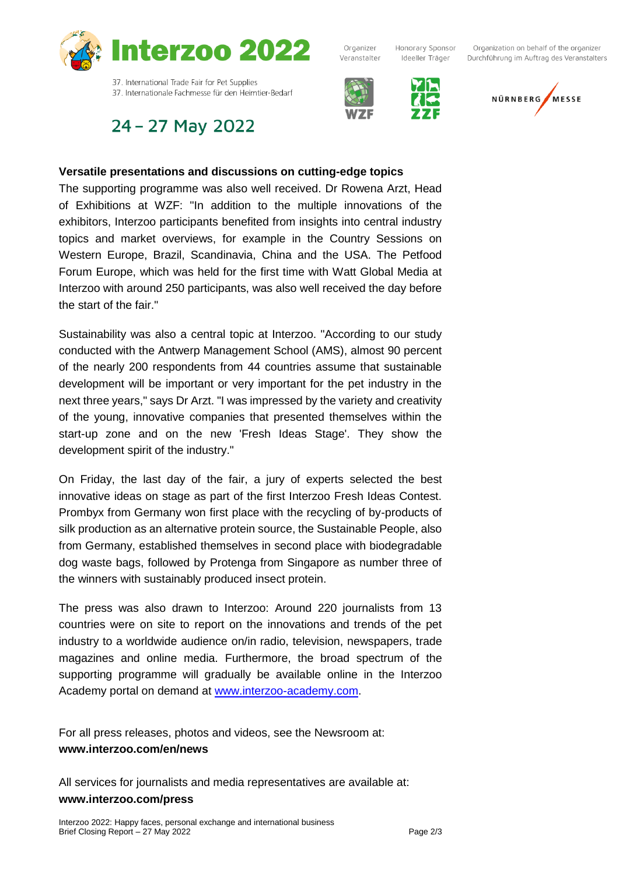

24 - 27 May 2022



The supporting programme was also well received. Dr Rowena Arzt, Head of Exhibitions at WZF: "In addition to the multiple innovations of the exhibitors, Interzoo participants benefited from insights into central industry topics and market overviews, for example in the Country Sessions on Western Europe, Brazil, Scandinavia, China and the USA. The Petfood Forum Europe, which was held for the first time with Watt Global Media at Interzoo with around 250 participants, was also well received the day before the start of the fair."

Sustainability was also a central topic at Interzoo. "According to our study conducted with the Antwerp Management School (AMS), almost 90 percent of the nearly 200 respondents from 44 countries assume that sustainable development will be important or very important for the pet industry in the next three years," says Dr Arzt. "I was impressed by the variety and creativity of the young, innovative companies that presented themselves within the start-up zone and on the new 'Fresh Ideas Stage'. They show the development spirit of the industry."

On Friday, the last day of the fair, a jury of experts selected the best innovative ideas on stage as part of the first Interzoo Fresh Ideas Contest. Prombyx from Germany won first place with the recycling of by-products of silk production as an alternative protein source, the Sustainable People, also from Germany, established themselves in second place with biodegradable dog waste bags, followed by Protenga from Singapore as number three of the winners with sustainably produced insect protein.

The press was also drawn to Interzoo: Around 220 journalists from 13 countries were on site to report on the innovations and trends of the pet industry to a worldwide audience on/in radio, television, newspapers, trade magazines and online media. Furthermore, the broad spectrum of the supporting programme will gradually be available online in the Interzoo Academy portal on demand at [www.interzoo-academy.com.](http://www.interzoo-academy.com/)

For all press releases, photos and videos, see the Newsroom at: **www.interzoo.com/en/news**

All services for journalists and media representatives are available at: **www.interzoo.com/press**



Ideeller Träger



Organizer

Veranstalter



Organization on behalf of the organizer Durchführung im Auftrag des Veranstalters